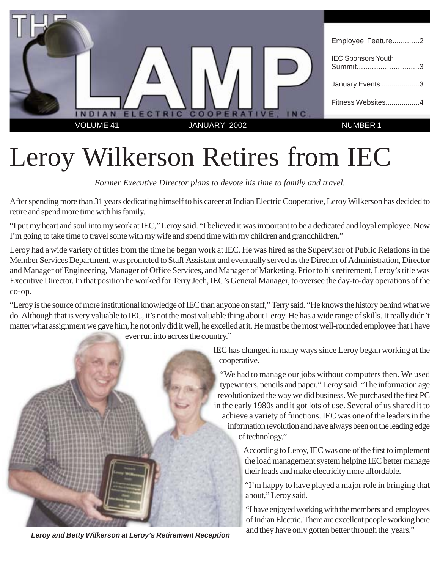

# Leroy Wilkerson Retires from IEC

*Former Executive Director plans to devote his time to family and travel.*

After spending more than 31 years dedicating himself to his career at Indian Electric Cooperative, Leroy Wilkerson has decided to retire and spend more time with his family.

"I put my heart and soul into my work at IEC," Leroy said. "I believed it was important to be a dedicated and loyal employee. Now I'm going to take time to travel some with my wife and spend time with my children and grandchildren."

Leroy had a wide variety of titles from the time he began work at IEC. He was hired as the Supervisor of Public Relations in the Member Services Department, was promoted to Staff Assistant and eventually served as the Director of Administration, Director and Manager of Engineering, Manager of Office Services, and Manager of Marketing. Prior to his retirement, Leroy's title was Executive Director. In that position he worked for Terry Jech, IEC's General Manager, to oversee the day-to-day operations of the co-op.

"Leroy is the source of more institutional knowledge of IEC than anyone on staff," Terry said. "He knows the history behind what we do. Although that is very valuable to IEC, it's not the most valuable thing about Leroy. He has a wide range of skills. It really didn't matter what assignment we gave him, he not only did it well, he excelled at it. He must be the most well-rounded employee that I have

ever run into across the country."



IEC has changed in many ways since Leroy began working at the cooperative.

"We had to manage our jobs without computers then. We used typewriters, pencils and paper." Leroy said. "The information age revolutionized the way we did business. We purchased the first PC in the early 1980s and it got lots of use. Several of us shared it to achieve a variety of functions. IEC was one of the leaders in the information revolution and have always been on the leading edge of technology."

> According to Leroy, IEC was one of the first to implement the load management system helping IEC better manage their loads and make electricity more affordable.

"I'm happy to have played a major role in bringing that about," Leroy said.

"I have enjoyed working with the members and employees of Indian Electric. There are excellent people working here and they have only gotten better through the years." **Leroy and Betty Wilkerson at Leroy's Retirement Reception**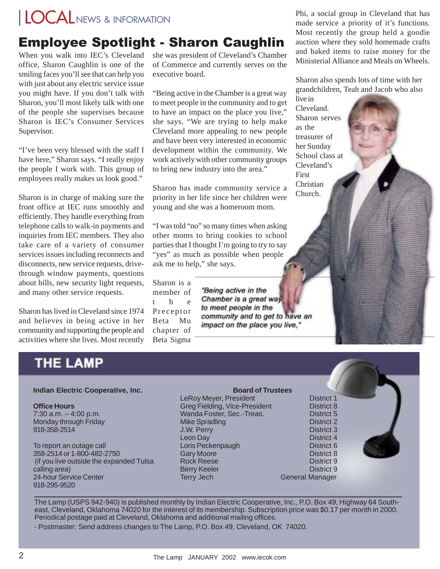# LOCALNEWS & INFORMATION

### **Employee Spotlight - Sharon Caughlin**

When you walk into IEC's Cleveland office, Sharon Caughlin is one of the smiling faces you'll see that can help you with just about any electric service issue you might have. If you don't talk with Sharon, you'll most likely talk with one of the people she supervises because Sharon is IEC's Consumer Services Supervisor.

"I've been very blessed with the staff I have here," Sharon says. "I really enjoy the people I work with. This group of employees really makes us look good."

Sharon is in charge of making sure the front office at IEC runs smoothly and efficiently. They handle everything from telephone calls to walk-in payments and inquiries from IEC members. They also take care of a variety of consumer services issues including reconnects and disconnects, new service requests, drivethrough window payments, questions about bills, new security light requests, and many other service requests.

Sharon has lived in Cleveland since 1974 and believes in being active in her community and supporting the people and activities where she lives. Most recently she was president of Cleveland's Chamber of Commerce and currently serves on the executive board.

"Being active in the Chamber is a great way to meet people in the community and to get to have an impact on the place you live," she says. "We are trying to help make Cleveland more appealing to new people and have been very interested in economic development within the community. We work actively with other community groups to bring new industry into the area."

Sharon has made community service a priority in her life since her children were young and she was a homeroom mom.

"I was told "no" so many times when asking other moms to bring cookies to school parties that I thought I'm going to try to say "yes" as much as possible when people ask me to help," she says.

Sharon is a member of t he Preceptor Beta Mu chapter of Beta Sigma

"Being active in the Chamber is a great way to meet people in the community and to get to have an impact on the place you live,"

Phi, a social group in Cleveland that has made service a priority of it's functions. Most recently the group held a goodie auction where they sold homemade crafts and baked items to raise money for the Ministerial Alliance and Meals on Wheels.

Sharon also spends lots of time with her grandchildren, Teah and Jacob who also

live in Cleveland. Sharon serves as the treasurer of her Sunday School class at Cleveland's First Christian Church.

### **THE LAMP**

#### **Indian Electric Cooperative, Inc.**

#### **Office Hours**

7:30 a.m. – 4:00 p.m. Monday through Friday 918-358-2514

To report an outage call 358-2514 or 1-800-482-2750 (if you live outside the expanded Tulsa calling area) 24-hour Service Center 918-295-9520

#### **Board of Trustees** LeRoy Meyer, President **District 1** Greg Fielding, Vice-President District 8 Wanda Foster, Sec.-Treas. District 5 Mike Spradling District 2 J.W. Perry District 3 Leon Day District 4 Loris Peckenpaugh **District 6** Gary Moore **District 8** Rock Reese District 9 Berry Keeler **District 9** Terry Jech General Manager

The Lamp (USPS 942-940) is published monthly by Indian Electric Cooperative, Inc., P.O. Box 49, Highway 64 Southeast, Cleveland, Oklahoma 74020 for the interest of its membership. Subscription price was \$0.17 per month in 2000. Periodical postage paid at Cleveland, Oklahoma and additional mailing offices.

- Postmaster: Send address changes to The Lamp, P.O. Box 49, Cleveland, OK 74020.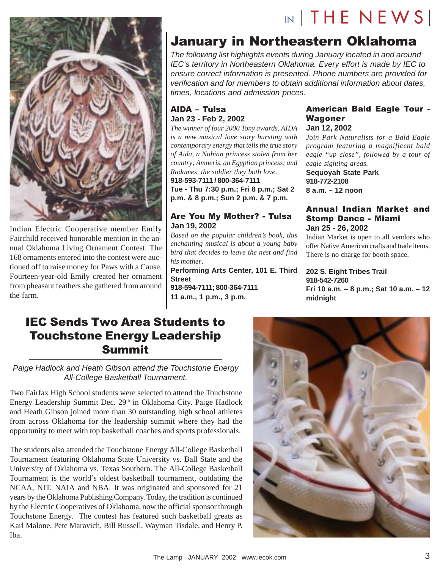

Indian Electric Cooperative member Emily Fairchild received honorable mention in the annual Oklahoma Living Ornament Contest. The 168 ornaments entered into the contest were auctioned off to raise money for Paws with a Cause. Fourteen-year-old Emily created her ornament from pheasant feathers she gathered from around the farm.

### January in Northeastern Oklahoma

The following list highlights events during January located in and around IEC's territory in Northeastern Oklahoma. Every effort is made by IEC to ensure correct information is presented. Phone numbers are provided for verification and for members to obtain additional information about dates, times, locations and admission prices.

### AIDA - Tulsa **Jan 23 - Feb 2, 2002**

*The winner of four 2000 Tony awards, AIDA is a new musical love story bursting with contemporary energy that tells the true story of Aida, a Nubian princess stolen from her country; Amneris, an Egyptian princess; and Radames, the soldier they both love.* **918-593-7111 / 800-364-7111 Tue - Thu 7:30 p.m.; Fri 8 p.m.; Sat 2 p.m. & 8 p.m.; Sun 2 p.m. & 7 p.m.**

### Are You My Mother? - Tulsa **Jan 19, 2002**

*Based on the popular children's book, this enchanting musical is about a young baby bird that decides to leave the nest and find his mother*.

**Performing Arts Center, 101 E. Third Street 918-594-7111; 800-364-7111 11 a.m., 1 p.m., 3 p.m.**

### American Bald Eagle Tour -Wagoner **Jan 12, 2002**

 $N$  THE NEWS

*Join Park Naturalists for a Bald Eagle program featuring a magnificent bald eagle "up close", followed by a tour of eagle sighting areas.*

**Sequoyah State Park 918-772-2108 8 a.m. – 12 noon**

### Annual Indian Market and Stomp Dance - Miami **Jan 25 - 26, 2002**

Indian Market is open to all vendors who offer Native American crafts and trade items. There is no charge for booth space.

**202 S. Eight Tribes Trail 918-542-7260 Fri 10 a.m. – 8 p.m.; Sat 10 a.m. – 12 midnight**

### **IEC Sends Two Area Students to** Touchstone Energy Leadership Summit

Paige Hadlock and Heath Gibson attend the Touchstone Energy All-College Basketball Tournament.

Two Fairfax High School students were selected to attend the Touchstone Energy Leadership Summit Dec. 29<sup>th</sup> in Oklahoma City. Paige Hadlock and Heath Gibson joined more than 30 outstanding high school athletes from across Oklahoma for the leadership summit where they had the opportunity to meet with top basketball coaches and sports professionals.

The students also attended the Touchstone Energy All-College Basketball Tournament featuring Oklahoma State University vs. Ball State and the University of Oklahoma vs. Texas Southern. The All-College Basketball Tournament is the world's oldest basketball tournament, outdating the NCAA, NIT, NAIA and NBA. It was originated and sponsored for 21 years by the Oklahoma Publishing Company. Today, the tradition is continued by the Electric Cooperatives of Oklahoma, now the official sponsor through Touchstone Energy. The contest has featured such basketball greats as Karl Malone, Pete Maravich, Bill Russell, Wayman Tisdale, and Henry P. Iba.